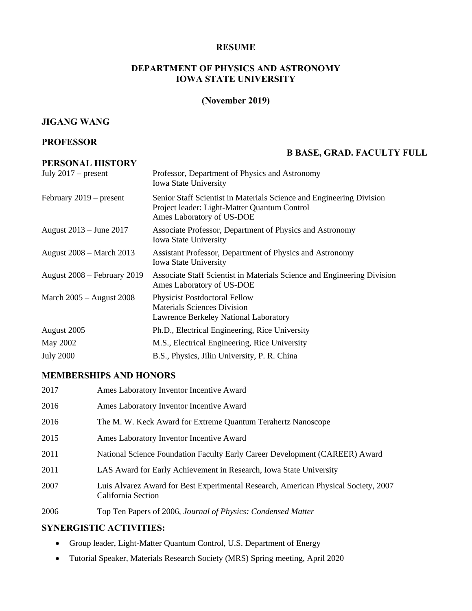#### **RESUME**

## **DEPARTMENT OF PHYSICS AND ASTRONOMY IOWA STATE UNIVERSITY**

# **(November 2019)**

#### **JIGANG WANG**

#### **PROFESSOR**

# **PERSONAL HISTORY**

# **B BASE, GRAD. FACULTY FULL**

| July $2017$ – present       | Professor, Department of Physics and Astronomy<br><b>Iowa State University</b>                                                                    |
|-----------------------------|---------------------------------------------------------------------------------------------------------------------------------------------------|
| February $2019$ – present   | Senior Staff Scientist in Materials Science and Engineering Division<br>Project leader: Light-Matter Quantum Control<br>Ames Laboratory of US-DOE |
| August 2013 – June 2017     | Associate Professor, Department of Physics and Astronomy<br><b>Iowa State University</b>                                                          |
| August 2008 – March 2013    | Assistant Professor, Department of Physics and Astronomy<br><b>Iowa State University</b>                                                          |
| August 2008 – February 2019 | Associate Staff Scientist in Materials Science and Engineering Division<br>Ames Laboratory of US-DOE                                              |
| March $2005 -$ August 2008  | <b>Physicist Postdoctoral Fellow</b><br><b>Materials Sciences Division</b><br>Lawrence Berkeley National Laboratory                               |
| August 2005                 | Ph.D., Electrical Engineering, Rice University                                                                                                    |
| May 2002                    | M.S., Electrical Engineering, Rice University                                                                                                     |
| <b>July 2000</b>            | B.S., Physics, Jilin University, P. R. China                                                                                                      |

#### **MEMBERSHIPS AND HONORS**

| 2017 | Ames Laboratory Inventor Incentive Award                                                                 |
|------|----------------------------------------------------------------------------------------------------------|
| 2016 | Ames Laboratory Inventor Incentive Award                                                                 |
| 2016 | The M. W. Keck Award for Extreme Quantum Terahertz Nanoscope                                             |
| 2015 | Ames Laboratory Inventor Incentive Award                                                                 |
| 2011 | National Science Foundation Faculty Early Career Development (CAREER) Award                              |
| 2011 | LAS Award for Early Achievement in Research, Iowa State University                                       |
| 2007 | Luis Alvarez Award for Best Experimental Research, American Physical Society, 2007<br>California Section |
| 2006 | Top Ten Papers of 2006, Journal of Physics: Condensed Matter                                             |

#### **SYNERGISTIC ACTIVITIES:**

- Group leader, Light-Matter Quantum Control, U.S. Department of Energy
- Tutorial Speaker, Materials Research Society (MRS) Spring meeting, April 2020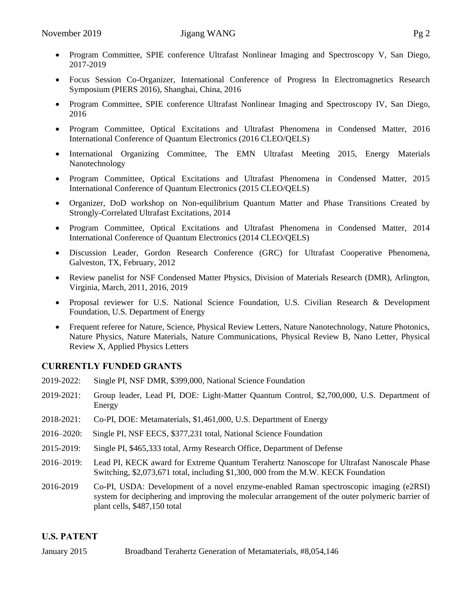- Program Committee, SPIE conference Ultrafast Nonlinear Imaging and Spectroscopy V, San Diego, 2017-2019
- Focus Session Co-Organizer, International Conference of Progress In Electromagnetics Research Symposium (PIERS 2016), Shanghai, China, 2016
- Program Committee, SPIE conference Ultrafast Nonlinear Imaging and Spectroscopy IV, San Diego, 2016
- Program Committee, Optical Excitations and Ultrafast Phenomena in Condensed Matter, 2016 International Conference of Quantum Electronics (2016 CLEO/QELS)
- International Organizing Committee, The EMN Ultrafast Meeting 2015, Energy Materials Nanotechnology
- Program Committee, Optical Excitations and Ultrafast Phenomena in Condensed Matter, 2015 International Conference of Quantum Electronics (2015 CLEO/QELS)
- Organizer, DoD workshop on Non-equilibrium Quantum Matter and Phase Transitions Created by Strongly-Correlated Ultrafast Excitations, 2014
- Program Committee, Optical Excitations and Ultrafast Phenomena in Condensed Matter, 2014 International Conference of Quantum Electronics (2014 CLEO/QELS)
- Discussion Leader, Gordon Research Conference (GRC) for Ultrafast Cooperative Phenomena, Galveston, TX, February, 2012
- Review panelist for NSF Condensed Matter Physics, Division of Materials Research (DMR), Arlington, Virginia, March, 2011, 2016, 2019
- Proposal reviewer for U.S. National Science Foundation, U.S. Civilian Research & Development Foundation, U.S. Department of Energy
- Frequent referee for Nature, Science, Physical Review Letters, Nature Nanotechnology, Nature Photonics, Nature Physics, Nature Materials, Nature Communications, Physical Review B, Nano Letter, Physical Review X, Applied Physics Letters

# **CURRENTLY FUNDED GRANTS**

- 2019-2022: Single PI, NSF DMR, \$399,000, National Science Foundation
- 2019-2021: Group leader, Lead PI, DOE: Light-Matter Quantum Control, \$2,700,000, U.S. Department of Energy
- 2018-2021: Co-PI, DOE: Metamaterials, \$1,461,000, U.S. Department of Energy
- 2016–2020: Single PI, NSF EECS, \$377,231 total, National Science Foundation
- 2015-2019: Single PI, \$465,333 total, Army Research Office, Department of Defense
- 2016–2019: Lead PI, KECK award for Extreme Quantum Terahertz Nanoscope for Ultrafast Nanoscale Phase Switching, \$2,073,671 total, including \$1,300, 000 from the M.W. KECK Foundation
- 2016-2019 Co-PI, USDA: Development of a novel enzyme-enabled Raman spectroscopic imaging (e2RSI) system for deciphering and improving the molecular arrangement of the outer polymeric barrier of plant cells, \$487,150 total

# **U.S. PATENT**

January 2015 Broadband Terahertz Generation of Metamaterials, #8,054,146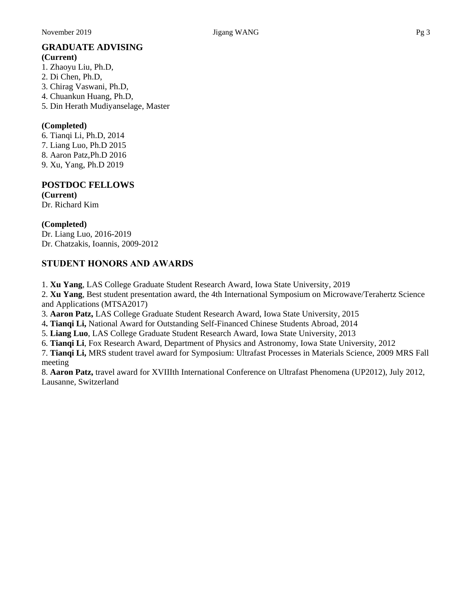# **GRADUATE ADVISING**

**(Current)** 1. Zhaoyu Liu, Ph.D, 2. Di Chen, Ph.D, 3. Chirag Vaswani, Ph.D, 4. Chuankun Huang, Ph.D, 5. Din Herath Mudiyanselage, Master

#### **(Completed)**

6. Tianqi Li, Ph.D, 2014 7. Liang Luo, Ph.D 2015 8. Aaron Patz,Ph.D 2016 9. Xu, Yang, Ph.D 2019

# **POSTDOC FELLOWS**

**(Current)**  Dr. Richard Kim

## **(Completed)**

Dr. Liang Luo, 2016-2019 Dr. Chatzakis, Ioannis, 2009-2012

# **STUDENT HONORS AND AWARDS**

1. **Xu Yang**, LAS College Graduate Student Research Award, Iowa State University, 2019

2. **Xu Yang**, Best student presentation award, the 4th International Symposium on Microwave/Terahertz Science and Applications (MTSA2017)

3. **Aaron Patz,** LAS College Graduate Student Research Award, Iowa State University, 2015

4**. Tianqi Li,** National Award for Outstanding Self-Financed Chinese Students Abroad, 2014

5. **Liang Luo**, LAS College Graduate Student Research Award, Iowa State University, 2013

6. **Tianqi Li**, Fox Research Award, Department of Physics and Astronomy, Iowa State University, 2012

7. **Tianqi Li,** MRS student travel award for Symposium: [Ultrafast Processes in Materials Science,](http://www.google.com/url?sa=t&source=web&cd=5&ved=0CC4QFjAE&url=http%3A%2F%2Fwww.mrs.org%2Fs_mrs%2Fdoc.asp%3FCID%3D24168%26DID%3D250173&ei=QllITeSXEYzogQe9wrnjBQ&usg=AFQjCNGF7yNlWbZa6O1PdDSM4uZ-KkG7cg) 2009 MRS Fall meeting

8. **Aaron Patz,** travel award for XVIIIth International Conference on Ultrafast Phenomena (UP2012), July 2012, Lausanne, Switzerland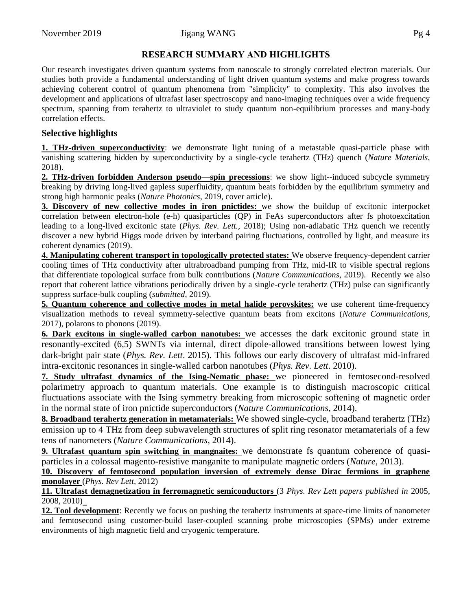# **RESEARCH SUMMARY AND HIGHLIGHTS**

Our research investigates driven quantum systems from nanoscale to strongly correlated electron materials. Our studies both provide a fundamental understanding of light driven quantum systems and make progress towards achieving coherent control of quantum phenomena from "simplicity" to complexity. This also involves the development and applications of ultrafast laser spectroscopy and nano-imaging techniques over a wide frequency spectrum, spanning from terahertz to ultraviolet to study quantum non-equilibrium processes and many-body correlation effects.

## **Selective highlights**

**1. THz-driven superconductivity**: we demonstrate light tuning of a metastable quasi-particle phase with vanishing scattering hidden by superconductivity by a single-cycle terahertz (THz) quench (*Nature Materials*, 2018).

**2. THz-driven forbidden Anderson pseudo—spin precessions**: we show light--induced subcycle symmetry breaking by driving long-lived gapless superfluidity, quantum beats forbidden by the equilibrium symmetry and strong high harmonic peaks (*Nature Photonics*, 2019, cover article).

**3. Discovery of new collective modes in iron pnictides:** we show the buildup of excitonic interpocket correlation between electron-hole (e-h) quasiparticles (QP) in FeAs superconductors after fs photoexcitation leading to a long-lived excitonic state (*Phys. Rev. Lett.,* 2018); Using non-adiabatic THz quench we recently discover a new hybrid Higgs mode driven by interband pairing fluctuations, controlled by light, and measure its coherent dynamics (2019).

**4. Manipulating coherent transport in topologically protected states:** We observe frequency-dependent carrier cooling times of THz conductivity after ultrabroadband pumping from THz, mid-IR to visible spectral regions that differentiate topological surface from bulk contributions (*Nature Communications*, 2019). Recently we also report that coherent lattice vibrations periodically driven by a single-cycle terahertz (THz) pulse can significantly suppress surface-bulk coupling (*submitted*, 2019).

**5. Quantum coherence and collective modes in metal halide perovskites:** we use coherent time-frequency visualization methods to reveal symmetry-selective quantum beats from excitons (*Nature Communications*, 2017), polarons to phonons (2019).

**6. Dark excitons in single-walled carbon nanotubes:** we accesses the dark excitonic ground state in resonantly-excited (6,5) SWNTs via internal, direct dipole-allowed transitions between lowest lying dark-bright pair state (*Phys. Rev. Lett*. 2015). This follows our early discovery of ultrafast mid-infrared intra-excitonic resonances in single-walled carbon nanotubes (*Phys. Rev. Lett*. 2010).

**7. Study ultrafast dynamics of the Ising-Nematic phase:** we pioneered in femtosecond-resolved polarimetry approach to quantum materials. One example is to distinguish macroscopic critical fluctuations associate with the Ising symmetry breaking from microscopic softening of magnetic order in the normal state of iron pnictide superconductors (*Nature Communications,* 2014).

**8. Broadband terahertz generation in metamaterials:** We showed single-cycle, broadband terahertz (THz) emission up to 4 THz from deep subwavelength structures of split ring resonator metamaterials of a few tens of nanometers (*Nature Communications,* 2014).

**9. Ultrafast quantum spin switching in mangnaites:** we demonstrate fs quantum coherence of quasiparticles in a colossal magento-resistive manganite to manipulate magnetic orders (*Nature*, 2013).

**10. Discovery of femtosecond population inversion of extremely dense Dirac fermions in graphene monolayer** (*Phys. Rev Lett,* 2012)

**11. Ultrafast demagnetization in ferromagnetic semiconductors** (3 *Phys. Rev Lett papers published in* 2005,  $\overline{2008}$ , 2010)<sub>-</sub>

**12. Tool development**: Recently we focus on pushing the terahertz instruments at space-time limits of nanometer and femtosecond using customer-build laser-coupled scanning probe microscopies (SPMs) under extreme environments of high magnetic field and cryogenic temperature.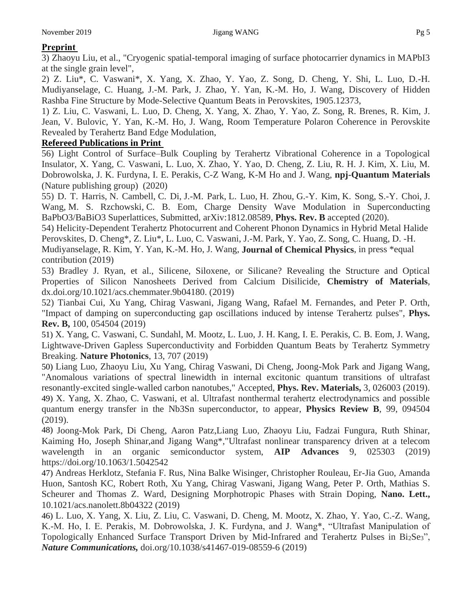# **Preprint**

3) Zhaoyu Liu, et al., "Cryogenic spatial-temporal imaging of surface photocarrier dynamics in MAPbI3 at the single grain level",

2) Z. Liu\*, C. Vaswani\*, X. Yang, X. Zhao, Y. Yao, Z. Song, D. Cheng, Y. Shi, L. Luo, D.-H. Mudiyanselage, C. Huang, J.-M. Park, J. Zhao, Y. Yan, K.-M. Ho, J. Wang, Discovery of Hidden Rashba Fine Structure by Mode-Selective Quantum Beats in Perovskites, 1905.12373,

1) Z. Liu, C. Vaswani, L. Luo, D. Cheng, X. Yang, X. Zhao, Y. Yao, Z. Song, R. Brenes, R. Kim, J. Jean, V. Bulovic, Y. Yan, K.-M. Ho, J. Wang, Room Temperature Polaron Coherence in Perovskite Revealed by Terahertz Band Edge Modulation,

# **Refereed Publications in Print**

56) Light Control of Surface–Bulk Coupling by Terahertz Vibrational Coherence in a Topological Insulator, X. Yang, C. Vaswani, L. Luo, X. Zhao, Y. Yao, D. Cheng, Z. Liu, R. H. J. Kim, X. Liu, M. Dobrowolska, J. K. Furdyna, I. E. Perakis, C-Z Wang, K-M Ho and J. Wang, **npj-Quantum Materials** (Nature publishing group) (2020)

55) [D. T. Harris,](https://arxiv.org/search/cond-mat?searchtype=author&query=Harris%2C+D+T) [N. Cambell,](https://arxiv.org/search/cond-mat?searchtype=author&query=Cambell%2C+N) [C. Di,](https://arxiv.org/search/cond-mat?searchtype=author&query=Di%2C+C) [J.-M. Park,](https://arxiv.org/search/cond-mat?searchtype=author&query=Park%2C+J) [L. Luo,](https://arxiv.org/search/cond-mat?searchtype=author&query=Luo%2C+L) [H. Zhou,](https://arxiv.org/search/cond-mat?searchtype=author&query=Zhou%2C+H) [G.-Y. Kim,](https://arxiv.org/search/cond-mat?searchtype=author&query=Kim%2C+G) [K. Song,](https://arxiv.org/search/cond-mat?searchtype=author&query=Song%2C+K) [S.-Y. Choi,](https://arxiv.org/search/cond-mat?searchtype=author&query=Choi%2C+5+S) [J.](https://arxiv.org/search/cond-mat?searchtype=author&query=Wang%2C+J)  [Wang,](https://arxiv.org/search/cond-mat?searchtype=author&query=Wang%2C+J) [M. S. Rzchowski,](https://arxiv.org/search/cond-mat?searchtype=author&query=Rzchowski%2C+M+S) [C. B. Eom,](https://arxiv.org/search/cond-mat?searchtype=author&query=Eom%2C+C+B) Charge Density Wave Modulation in Superconducting BaPbO3/BaBiO3 Superlattices, Submitted, arXiv:1812.08589, **Phys. Rev. B** accepted (2020).

54) Helicity-Dependent Terahertz Photocurrent and Coherent Phonon Dynamics in Hybrid Metal Halide Perovskites, D. Cheng\*, Z. Liu\*, L. Luo, C. Vaswani, J.-M. Park, Y. Yao, Z. Song, C. Huang, D. -H. Mudiyanselage, R. Kim, Y. Yan, K.-M. Ho, J. Wang, **Journal of Chemical Physics**, in press \*equal contribution (2019)

53) Bradley J. Ryan, et al., Silicene, Siloxene, or Silicane? Revealing the Structure and Optical Properties of Silicon Nanosheets Derived from Calcium Disilicide, **Chemistry of Materials**, dx.doi.org/10.1021/acs.chemmater.9b04180. (2019)

52) Tianbai Cui, Xu Yang, Chirag Vaswani, Jigang Wang, Rafael M. Fernandes, and Peter P. Orth, "Impact of damping on superconducting gap oscillations induced by intense Terahertz pulses", **Phys. Rev. B,** 100, 054504 (2019)

51) X. Yang, C. Vaswani, C. Sundahl, M. Mootz, L. Luo, J. H. Kang, I. E. Perakis, C. B. Eom, J. Wang, Lightwave-Driven Gapless Superconductivity and Forbidden Quantum Beats by Terahertz Symmetry Breaking. **Nature Photonics**, 13, 707 (2019)

50) Liang Luo, Zhaoyu Liu, Xu Yang, Chirag Vaswani, Di Cheng, Joong-Mok Park and Jigang Wang, "Anomalous variations of spectral linewidth in internal excitonic quantum transitions of ultrafast resonantly-excited single-walled carbon nanotubes," Accepted, **Phys. Rev. Materials,** 3, 026003 (2019). 49) X. Yang, X. Zhao, C. Vaswani, et al. Ultrafast nonthermal terahertz electrodynamics and possible quantum energy transfer in the Nb3Sn superconductor, to appear, **Physics Review B**, 99, 094504 (2019).

48) Joong-Mok Park, Di Cheng, Aaron Patz,Liang Luo, Zhaoyu Liu, Fadzai Fungura, Ruth Shinar, Kaiming Ho, Joseph Shinar,and Jigang Wang\*,"Ultrafast nonlinear transparency driven at a telecom wavelength in an organic semiconductor system, **AIP Advances** 9, 025303 (2019) https://doi.org/10.1063/1.5042542

47) Andreas Herklotz, Stefania F. Rus, Nina Balke Wisinger, Christopher Rouleau, Er-Jia Guo, Amanda Huon, Santosh KC, Robert Roth, Xu Yang, Chirag Vaswani, Jigang Wang, Peter P. Orth, Mathias S. Scheurer and Thomas Z. Ward, Designing Morphotropic Phases with Strain Doping, **Nano. Lett.,** 10.1021/acs.nanolett.8b04322 (2019)

46) L. Luo, X. Yang, X. Liu, Z. Liu, C. Vaswani, D. Cheng, M. Mootz, X. Zhao, Y. Yao, C.-Z. Wang, K.-M. Ho, I. E. Perakis, M. Dobrowolska, J. K. Furdyna, and J. Wang\*, "Ultrafast Manipulation of Topologically Enhanced Surface Transport Driven by Mid-Infrared and Terahertz Pulses in Bi<sub>2</sub>Se<sub>3</sub>", *Nature Communications,* doi.org/10.1038/s41467-019-08559-6 (2019)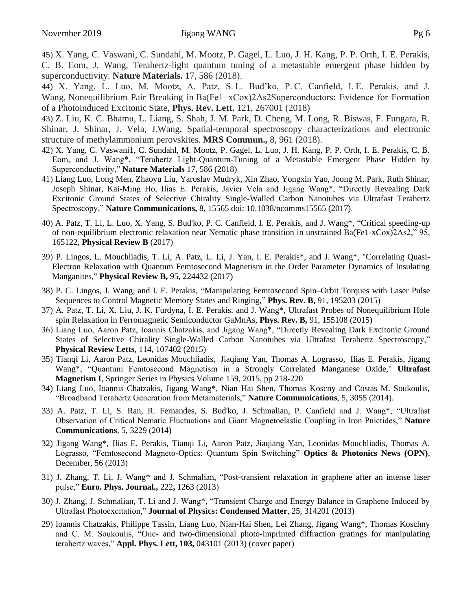45) X. Yang, C. Vaswani, C. Sundahl, M. Mootz, P. Gagel, L. Luo, J. H. Kang, P. P. Orth, I. E. Perakis, C. B. Eom, J. Wang, Terahertz-light quantum tuning of a metastable emergent phase hidden by superconductivity. **Nature Materials.** 17, 586 (2018).

44) X. Yang, L. Luo, M. Mootz, A. Patz, S. L. Bud'ko, P. C. Canfield, I. E. Perakis, and J. Wang, Nonequilibrium Pair Breaking in Ba(Fe1−xCox)2As2Superconductors: Evidence for Formation of a Photoinduced Excitonic State, **Phys. Rev. Lett.** 121, 267001 (2018)

43) Z. Liu, K. C. Bhamu, L. Liang, S. Shah, J. M. Park, D. Cheng, M. Long, R. Biswas, F. Fungara, R. Shinar, J. Shinar, J. Vela, J.Wang, Spatial-temporal spectroscopy characterizations and electronic structure of methylammonium perovskites. **MRS Commun.,** 8, 961 (2018).

- 42) X. Yang, C. Vaswani1, C. Sundahl, M. Mootz, P. Gagel, L. Luo, J. H. Kang, P. P. Orth, I. E. Perakis, C. B. Eom, and J. Wang\*, "Terahertz Light-Quantum-Tuning of a Metastable Emergent Phase Hidden by Superconductivity," **Nature Materials** 17, 586 (2018)
- 41) Liang Luo, Long Men, Zhaoyu Liu, Yaroslav Mudryk, Xin Zhao, Yongxin Yao, Joong M. Park, Ruth Shinar, Joseph Shinar, Kai-Ming Ho, Ilias E. Perakis, Javier Vela and Jigang Wang\*, "Directly Revealing Dark Excitonic Ground States of Selective Chirality Single-Walled Carbon Nanotubes via Ultrafast Terahertz Spectroscopy," **Nature Communications,** 8, 15565 doi: 10.1038/ncomms15565 (2017).
- 40) A. Patz, T. Li, L. Luo, X. Yang, S. Bud'ko, P. C. Canfield, I. E. Perakis, and J. Wang\*, "Critical speeding-up of non-equilibrium electronic relaxation near Nematic phase transition in unstrained Ba(Fe1-xCox)2As2," 95, 165122, **Physical Review B** (2017)
- 39) P. Lingos, L. Mouchliadis, T. Li, A. Patz, L. Li, J. Yan, I. E. Perakis\*, and J. Wang\*, "Correlating Quasi-Electron Relaxation with Quantum Femtosecond Magnetism in the Order Parameter Dynamics of Insulating Manganites," **Physical Review B,** 95, 224432 (2017)
- 38) P. C. Lingos, J. Wang, and I. E. Perakis, "Manipulating Femtosecond Spin–Orbit Torques with Laser Pulse Sequences to Control Magnetic Memory States and Ringing," **Phys. Rev. B,** 91, 195203 (2015)
- 37) A. Patz, T. Li, X. Liu, J. K. Furdyna, I. E. Perakis, and J. Wang\*, Ultrafast Probes of Nonequilibrium Hole spin Relaxation in Ferromagnetic Semiconductor GaMnAs, **Phys. Rev. B,** 91, 155108 (2015)
- 36) Liang Luo, Aaron Patz, Ioannis Chatzakis, and Jigang Wang\*, "Directly Revealing Dark Excitonic Ground States of Selective Chirality Single-Walled Carbon Nanotubes via Ultrafast Terahertz Spectroscopy," **Physical Review Letts**, 114, 107402 (2015)
- 35) [Tianqi Li,](http://link.springer.com/search?facet-author=%22Tianqi+Li%22) [Aaron Patz,](http://link.springer.com/search?facet-author=%22Aaron+Patz%22) [Leonidas Mouchliadis,](http://link.springer.com/search?facet-author=%22Leonidas+Mouchliadis%22) [Jiaqiang Yan,](http://link.springer.com/search?facet-author=%22Jiaqiang+Yan%22) [Thomas A. Lograsso,](http://link.springer.com/search?facet-author=%22Thomas+A.+Lograsso%22) [Ilias E. Perakis,](http://link.springer.com/search?facet-author=%22Ilias+E.+Perakis%22) [Jigang](http://link.springer.com/search?facet-author=%22Jigang+Wang%22)  [Wang\\*](http://link.springer.com/search?facet-author=%22Jigang+Wang%22), "Quantum Femtosecond Magnetism in a Strongly Correlated Manganese Oxide," **[Ultrafast](http://link.springer.com/book/10.1007/978-3-319-07743-7)  [Magnetism I](http://link.springer.com/book/10.1007/978-3-319-07743-7)**, [Springer Series in Physics](http://link.springer.com/bookseries/361) Volume 159, 2015, pp 218-220
- 34) Liang Luo, Ioannis Chatzakis, Jigang Wang\*, Nian Hai Shen, Thomas Koscny and Costas M. Soukoulis, "Broadband Terahertz Generation from Metamaterials," **Nature Communications**, 5, 3055 (2014).
- 33) A. Patz, T. Li, S. Ran, R. Fernandes, S. Bud'ko, J. Schmalian, P. Canfield and J. Wang\*, "Ultrafast Observation of Critical Nematic Fluctuations and Giant Magnetoelastic Coupling in Iron Pnictides," **Nature Communications**, 5, 3229 (2014)
- 32) Jigang Wang\*, Ilias E. Perakis, Tianqi Li, Aaron Patz, Jiaqiang Yan, Leonidas Mouchliadis, Thomas A. Lograsso, "Femtosecond Magneto-Optics: Quantum Spin Switching" **Optics & Photonics News (OPN)**, December, 56 (2013)
- 31) J. Zhang, T. Li, J. Wang\* and J. Schmalian, "Post-transient relaxation in graphene after an intense laser pulse," **Euro. Phys. Journal.,** 222**,** 1263 (2013)
- 30) J. Zhang, J. Schmalian, T. Li and J. Wang\*, "Transient Charge and Energy Balance in Graphene Induced by Ultrafast Photoexcitation," **Journal of Physics: Condensed Matter**, 25, 314201 (2013)
- 29) Ioannis Chatzakis, Philippe Tassin, Liang Luo, Nian-Hai Shen, Lei Zhang, Jigang Wang\*, Thomas Koschny and C. M. Soukoulis, "One- and two-dimensional photo-imprinted diffraction gratings for manipulating terahertz waves," **Appl. Phys. Lett, 103,** 043101 (2013) (cover paper)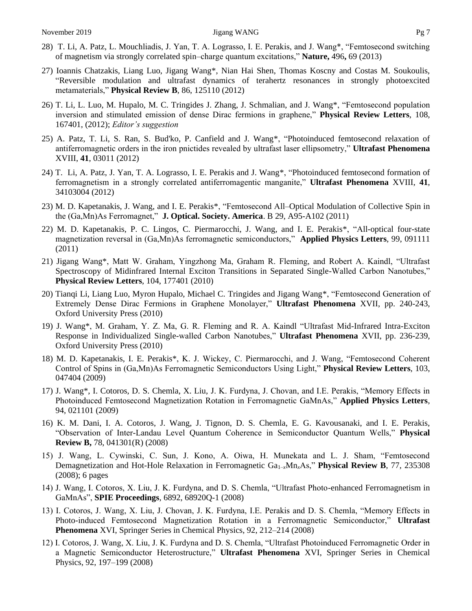- 28) T. Li, A. Patz, L. Mouchliadis, J. Yan, T. A. Lograsso, I. E. Perakis, and J. Wang\*, "Femtosecond switching of magnetism via strongly correlated spin–charge quantum excitations," **Nature,** 496**,** 69 (2013)
- 27) Ioannis Chatzakis, Liang Luo, Jigang Wang\*, Nian Hai Shen, Thomas Koscny and Costas M. Soukoulis, "Reversible modulation and ultrafast dynamics of terahertz resonances in strongly photoexcited metamaterials," **Physical Review B**, 86, 125110 (2012)
- 26) T. Li, L. Luo, M. Hupalo, M. C. Tringides J. Zhang, J. Schmalian, and J. Wang\*, "Femtosecond population inversion and stimulated emission of dense Dirac fermions in graphene," **Physical Review Letters**, 108, 167401, (2012); *Editor's suggestion*
- 25) A. Patz, T. Li, S. Ran, S. Bud'ko, P. Canfield and J. Wang\*, "Photoinduced femtosecond relaxation of antiferromagnetic orders in the iron pnictides revealed by ultrafast laser ellipsometry," **Ultrafast Phenomena** XVIII, **41**, 03011 (2012)
- 24) T. Li, A. Patz, J. Yan, T. A. Lograsso, I. E. Perakis and J. Wang\*, "Photoinduced femtosecond formation of ferromagnetism in a strongly correlated antiferromagentic manganite," **Ultrafast Phenomena** XVIII, **41**, 34103004 (2012)
- 23) M. D. Kapetanakis, J. Wang, and I. E. Perakis\*, "Femtosecond All–Optical Modulation of Collective Spin in the (Ga,Mn)As Ferromagnet," **J. Optical. Society. America**. B 29, A95-A102 (2011)
- 22) M. D. Kapetanakis, P. C. Lingos, C. Piermarocchi, J. Wang, and I. E. Perakis\*, "All-optical four-state magnetization reversal in (Ga,Mn)As ferromagnetic semiconductors," **Applied Physics Letters**, 99, 091111 (2011)
- 21) Jigang Wang\*, Matt W. Graham, Yingzhong Ma, Graham R. Fleming, and Robert A. Kaindl, "Ultrafast Spectroscopy of Midinfrared Internal Exciton Transitions in Separated Single-Walled Carbon Nanotubes," **Physical Review Letters**, 104, 177401 (2010)
- 20) Tianqi Li, Liang Luo, Myron Hupalo, Michael C. Tringides and Jigang Wang\*, "Femtosecond Generation of Extremely Dense Dirac Fermions in Graphene Monolayer," **Ultrafast Phenomena** XVII, pp. 240-243, Oxford University Press (2010)
- 19) J. Wang\*, M. Graham, Y. Z. Ma, G. R. Fleming and R. A. Kaindl "Ultrafast Mid-Infrared Intra-Exciton Response in Individualized Single-walled Carbon Nanotubes," **Ultrafast Phenomena** XVII, pp. 236-239, Oxford University Press (2010)
- 18) M. D. Kapetanakis, I. E. Perakis\*, K. J. Wickey, C. Piermarocchi, and J. Wang, "Femtosecond Coherent Control of Spins in (Ga,Mn)As Ferromagnetic Semiconductors Using Light," **Physical Review Letters**, 103, 047404 (2009)
- 17) J. Wang\*, I. Cotoros, D. S. Chemla, X. Liu, J. K. Furdyna, J. Chovan, and I.E. Perakis, "Memory Effects in Photoinduced Femtosecond Magnetization Rotation in Ferromagnetic GaMnAs," **Applied Physics Letters**, 94, 021101 (2009)
- 16) K. M. Dani, I. A. Cotoros, J. Wang, J. Tignon, D. S. Chemla, E. G. Kavousanaki, and I. E. Perakis, "Observation of Inter-Landau Level Quantum Coherence in Semiconductor Quantum Wells," **Physical Review B,** 78, 041301(R) (2008)
- 15) J. Wang, L. Cywinski, C. Sun, J. Kono, A. Oiwa, H. Munekata and L. J. Sham, "Femtosecond Demagnetization and Hot-Hole Relaxation in Ferromagnetic Ga1–*x*Mn*x*As," **Physical Review B**, 77, 235308 (2008); 6 pages
- 14) J. Wang, I. Cotoros, X. Liu, J. K. Furdyna, and D. S. Chemla, "Ultrafast Photo-enhanced Ferromagnetism in GaMnAs", **SPIE Proceedings**, 6892, 68920Q-1 (2008)
- 13) I. Cotoros, J. Wang, X. Liu, J. Chovan, J. K. Furdyna, I.E. Perakis and D. S. Chemla, "Memory Effects in Photo-induced Femtosecond Magnetization Rotation in a Ferromagnetic Semiconductor," **Ultrafast Phenomena** XVI, Springer Series in Chemical Physics, 92, 212–214 (2008)
- 12) I. Cotoros, J. Wang, X. Liu, J. K. Furdyna and D. S. Chemla, "Ultrafast Photoinduced Ferromagnetic Order in a Magnetic Semiconductor Heterostructure," **Ultrafast Phenomena** XVI, Springer Series in Chemical Physics, 92, 197–199 (2008)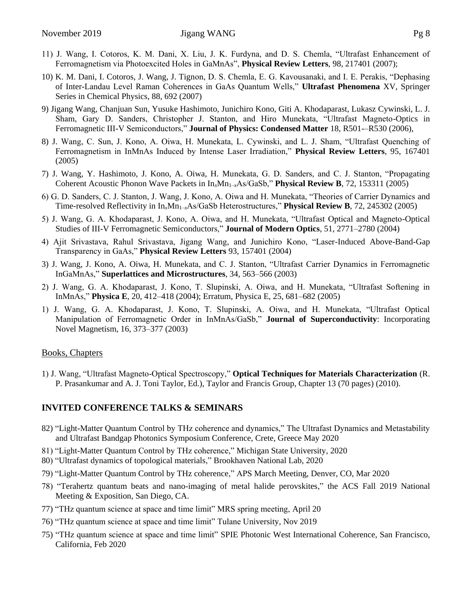- 11) J. Wang, I. Cotoros, K. M. Dani, X. Liu, J. K. Furdyna, and D. S. Chemla, "Ultrafast Enhancement of Ferromagnetism via Photoexcited Holes in GaMnAs", **Physical Review Letters**, 98, 217401 (2007);
- 10) K. M. Dani, I. Cotoros, J. Wang, J. Tignon, D. S. Chemla, E. G. Kavousanaki, and I. E. Perakis, "Dephasing of Inter-Landau Level Raman Coherences in GaAs Quantum Wells," **Ultrafast Phenomena** XV, Springer Series in Chemical Physics, 88, 692 (2007)
- 9) Jigang Wang, Chanjuan Sun, Yusuke Hashimoto, Junichiro Kono, Giti A. Khodaparast, Lukasz Cywinski, L. J. Sham, Gary D. Sanders, Christopher J. Stanton, and Hiro Munekata, "Ultrafast Magneto-Optics in Ferromagnetic III-V Semiconductors," **Journal of Physics: Condensed Matter** 18, R501-–R530 (2006),
- 8) J. Wang, C. Sun, J. Kono, A. Oiwa, H. Munekata, L. Cywinski, and L. J. Sham, "Ultrafast Quenching of Ferromagnetism in InMnAs Induced by Intense Laser Irradiation," **Physical Review Letters**, 95, 167401 (2005)
- 7) J. Wang, Y. Hashimoto, J. Kono, A. Oiwa, H. Munekata, G. D. Sanders, and C. J. Stanton, "Propagating Coherent Acoustic Phonon Wave Packets in In*x*Mn1–*x*As/GaSb," **Physical Review B**, 72, 153311 (2005)
- 6) G. D. Sanders, C. J. Stanton, J. Wang, J. Kono, A. Oiwa and H. Munekata, "Theories of Carrier Dynamics and Time-resolved Reflectivity in In<sub>x</sub>Mn<sub>1–x</sub>As/GaSb Heterostructures," **Physical Review B**, 72, 245302 (2005)
- 5) J. Wang, G. A. Khodaparast, J. Kono, A. Oiwa, and H. Munekata, "Ultrafast Optical and Magneto-Optical Studies of III-V Ferromagnetic Semiconductors," **Journal of Modern Optics**, 51, 2771–2780 (2004)
- 4) Ajit Srivastava, Rahul Srivastava, Jigang Wang, and Junichiro Kono, "Laser-Induced Above-Band-Gap Transparency in GaAs," **Physical Review Letters** 93, 157401 (2004)
- 3) J. Wang, J. Kono, A. Oiwa, H. Munekata, and C. J. Stanton, "Ultrafast Carrier Dynamics in Ferromagnetic InGaMnAs," **Superlattices and Microstructures**, 34, 563–566 (2003)
- 2) J. Wang, G. A. Khodaparast, J. Kono, T. Slupinski, A. Oiwa, and H. Munekata, "Ultrafast Softening in InMnAs," **Physica E**, 20, 412–418 (2004); Erratum, Physica E, 25, 681–682 (2005)
- 1) J. Wang, G. A. Khodaparast, J. Kono, T. Slupinski, A. Oiwa, and H. Munekata, "Ultrafast Optical Manipulation of Ferromagnetic Order in InMnAs/GaSb," **Journal of Superconductivity**: Incorporating Novel Magnetism, 16, 373–377 (2003)

#### Books, Chapters

1) J. Wang, "Ultrafast Magneto-Optical Spectroscopy," **Optical Techniques for Materials Characterization** (R. P. Prasankumar and A. J. Toni Taylor, Ed.), Taylor and Francis Group, Chapter 13 (70 pages) (2010).

#### **INVITED CONFERENCE TALKS & SEMINARS**

- 82) "Light-Matter Quantum Control by THz coherence and dynamics," The Ultrafast Dynamics and Metastability and Ultrafast Bandgap Photonics Symposium Conference, Crete, Greece May 2020
- 81) "Light-Matter Quantum Control by THz coherence," Michigan State University, 2020
- 80) "Ultrafast dynamics of topological materials," Brookhaven National Lab, 2020
- 79) "Light-Matter Quantum Control by THz coherence," APS March Meeting, Denver, CO, Mar 2020
- 78) "Terahertz quantum beats and nano-imaging of metal halide perovskites," the ACS Fall 2019 National Meeting & Exposition, San Diego, CA.
- 77) "THz quantum science at space and time limit" MRS spring meeting, April 20
- 76) "THz quantum science at space and time limit" Tulane University, Nov 2019
- 75) "THz quantum science at space and time limit" SPIE Photonic West International Coherence, San Francisco, California, Feb 2020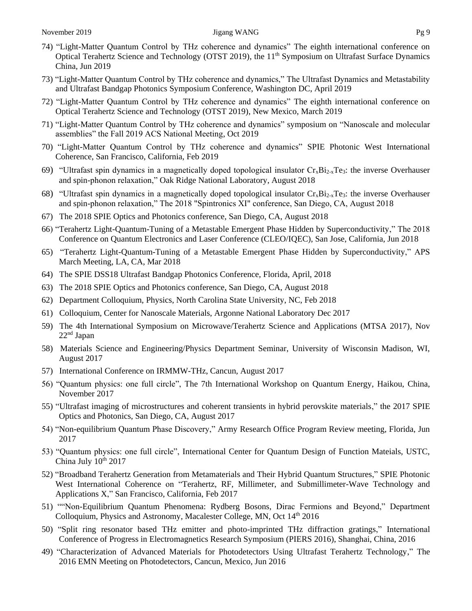- 74) "Light-Matter Quantum Control by THz coherence and dynamics" The eighth international conference on Optical Terahertz Science and Technology (OTST 2019), the 11<sup>th</sup> Symposium on Ultrafast Surface Dynamics China, Jun 2019
- 73) "Light-Matter Quantum Control by THz coherence and dynamics," The Ultrafast Dynamics and Metastability and Ultrafast Bandgap Photonics Symposium Conference, Washington DC, April 2019
- 72) "Light-Matter Quantum Control by THz coherence and dynamics" The eighth international conference on Optical Terahertz Science and Technology (OTST 2019), New Mexico, March 2019
- 71) "Light-Matter Quantum Control by THz coherence and dynamics" symposium on "Nanoscale and molecular assemblies" the Fall 2019 ACS National Meeting, Oct 2019
- 70) "Light-Matter Quantum Control by THz coherence and dynamics" SPIE Photonic West International Coherence, San Francisco, California, Feb 2019
- 69) "Ultrafast spin dynamics in a magnetically doped topological insulator  $Cr_xBi_{2-x}Te_3$ : the inverse Overhauser and spin-phonon relaxation," Oak Ridge National Laboratory, August 2018
- 68) "Ultrafast spin dynamics in a magnetically doped topological insulator  $Cr_xBi_{2-x}Te_3$ : the inverse Overhauser and spin-phonon relaxation," The 2018 "Spintronics XI" conference, San Diego, CA, August 2018
- 67) The 2018 SPIE Optics and Photonics conference, San Diego, CA, August 2018
- 66) "Terahertz Light-Quantum-Tuning of a Metastable Emergent Phase Hidden by Superconductivity," The 2018 Conference on Quantum Electronics and Laser Conference (CLEO/IQEC), San Jose, California, Jun 2018
- 65) "Terahertz Light-Quantum-Tuning of a Metastable Emergent Phase Hidden by Superconductivity," APS March Meeting, LA, CA, Mar 2018
- 64) The SPIE DSS18 Ultrafast Bandgap Photonics Conference, Florida, April, 2018
- 63) The 2018 SPIE Optics and Photonics conference, San Diego, CA, August 2018
- 62) Department Colloquium, Physics, North Carolina State University, NC, Feb 2018
- 61) Colloquium, Center for Nanoscale Materials, Argonne National Laboratory Dec 2017
- 59) The 4th International Symposium on Microwave/Terahertz Science and Applications (MTSA 2017), Nov  $22<sup>nd</sup>$  Japan
- 58) Materials Science and Engineering/Physics Department Seminar, University of Wisconsin Madison, WI, August 2017
- 57) International Conference on IRMMW-THz, Cancun, August 2017
- 56) "Quantum physics: one full circle", The 7th International Workshop on Quantum Energy, Haikou, China, November 2017
- 55) "Ultrafast imaging of microstructures and coherent transients in hybrid perovskite materials," the 2017 SPIE Optics and Photonics, San Diego, CA, August 2017
- 54) "Non-equilibrium Quantum Phase Discovery," Army Research Office Program Review meeting, Florida, Jun 2017
- 53) "Quantum physics: one full circle", International Center for Quantum Design of Function Mateials, USTC, China July  $10^{th}$  2017
- 52) "Broadband Terahertz Generation from Metamaterials and Their Hybrid Quantum Structures," SPIE Photonic West International Coherence on "Terahertz, RF, Millimeter, and Submillimeter-Wave Technology and Applications X," San Francisco, California, Feb 2017
- 51) ""Non-Equilibrium Quantum Phenomena: Rydberg Bosons, Dirac Fermions and Beyond," Department Colloquium, Physics and Astronomy, Macalester College, MN, Oct 14<sup>th</sup> 2016
- 50) "Split ring resonator based THz emitter and photo-imprinted THz diffraction gratings," International Conference of Progress in Electromagnetics Research Symposium (PIERS 2016), Shanghai, China, 2016
- 49) "Characterization of Advanced Materials for Photodetectors Using Ultrafast Terahertz Technology," The 2016 EMN Meeting on Photodetectors, Cancun, Mexico, Jun 2016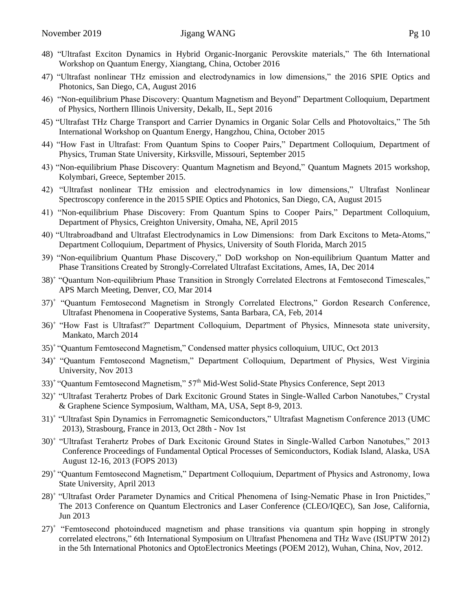- 48) "Ultrafast Exciton Dynamics in Hybrid Organic-Inorganic Perovskite materials," The 6th International Workshop on Quantum Energy, Xiangtang, China, October 2016
- 47) "Ultrafast nonlinear THz emission and electrodynamics in low dimensions," the 2016 SPIE Optics and Photonics, San Diego, CA, August 2016
- 46) "Non-equilibrium Phase Discovery: Quantum Magnetism and Beyond" Department Colloquium, Department of Physics, Northern Illinois University, Dekalb, IL, Sept 2016
- 45) "Ultrafast THz Charge Transport and Carrier Dynamics in Organic Solar Cells and Photovoltaics," The 5th International Workshop on Quantum Energy, Hangzhou, China, October 2015
- 44) "How Fast in Ultrafast: From Quantum Spins to Cooper Pairs," Department Colloquium, Department of Physics, Truman State University, [Kirksville,](http://www.truman.edu/about/welcoming-college-town/) Missouri, September 2015
- 43) "Non-equilibrium Phase Discovery: Quantum Magnetism and Beyond," Quantum Magnets 2015 workshop, Kolymbari, Greece, September 2015.
- 42) "Ultrafast nonlinear THz emission and electrodynamics in low dimensions," Ultrafast Nonlinear Spectroscopy conference in the 2015 SPIE Optics and Photonics, San Diego, CA, August 2015
- 41) "Non-equilibrium Phase Discovery: From Quantum Spins to Cooper Pairs," Department Colloquium, Department of Physics, [Creighton University,](http://www.creighton.edu/) Omaha, NE, April 2015
- 40) "Ultrabroadband and Ultrafast Electrodynamics in Low Dimensions: from Dark Excitons to Meta-Atoms," Department Colloquium, Department of Physics, University of South Florida, March 2015
- 39) "Non-equilibrium Quantum Phase Discovery," DoD workshop on Non-equilibrium Quantum Matter and Phase Transitions Created by Strongly-Correlated Ultrafast Excitations, Ames, IA, Dec 2014
- 38)<sup>+</sup> "Quantum Non-equilibrium Phase Transition in Strongly Correlated Electrons at Femtosecond Timescales," APS March Meeting, Denver, CO, Mar 2014
- 37)<sup>+</sup> "Quantum Femtosecond Magnetism in Strongly Correlated Electrons," Gordon Research Conference, Ultrafast Phenomena in Cooperative Systems, Santa Barbara, CA, Feb, 2014
- 36)<sup>+</sup>"How Fast is Ultrafast?" Department Colloquium, Department of Physics, Minnesota state university, Mankato, March 2014
- 35)<sup>+</sup>"Quantum Femtosecond Magnetism," Condensed matter physics colloquium, UIUC, Oct 2013
- 34)<sup>+</sup>"Quantum Femtosecond Magnetism," Department Colloquium, Department of Physics, West Virginia University, Nov 2013
- 33)<sup>+</sup>"Quantum Femtosecond Magnetism," 57th Mid-West Solid-State Physics Conference, Sept 2013
- 32)<sup>+</sup> "Ultrafast Terahertz Probes of Dark Excitonic Ground States in Single-Walled Carbon Nanotubes," Crystal & Graphene Science Symposium, Waltham, MA, USA, Sept 8-9, 2013.
- 31)<sup>+</sup> "Ultrafast Spin Dynamics in Ferromagnetic Semiconductors," Ultrafast Magnetism Conference 2013 (UMC 2013), Strasbourg, France in 2013, Oct 28th - Nov 1st
- 30)<sup>+</sup> "Ultrafast Terahertz Probes of Dark Excitonic Ground States in Single-Walled Carbon Nanotubes," 2013 Conference Proceedings of Fundamental Optical Processes of Semiconductors, Kodiak Island, Alaska, USA August 12-16, 2013 (FOPS 2013)
- 29)<sup>+</sup>"Quantum Femtosecond Magnetism," Department Colloquium, Department of Physics and Astronomy, Iowa State University, April 2013
- 28)<sup>+</sup>"Ultrafast Order Parameter Dynamics and Critical Phenomena of Ising-Nematic Phase in Iron Pnictides," The 2013 Conference on Quantum Electronics and Laser Conference (CLEO/IQEC), San Jose, California, Jun 2013
- 27)<sup>+</sup> "Femtosecond photoinduced magnetism and phase transitions via quantum spin hopping in strongly correlated electrons," 6th International Symposium on Ultrafast Phenomena and THz Wave (ISUPTW 2012) in the 5th International Photonics and OptoElectronics Meetings (POEM 2012), Wuhan, China, Nov, 2012.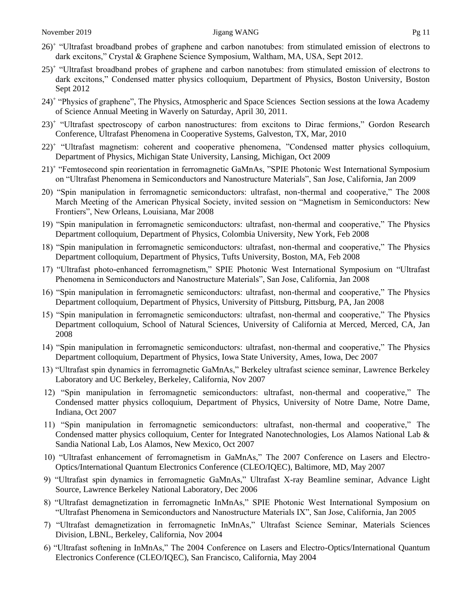- 26)<sup>+</sup> "Ultrafast broadband probes of graphene and carbon nanotubes: from stimulated emission of electrons to dark excitons," Crystal & Graphene Science Symposium, Waltham, MA, USA, Sept 2012.
- 25)<sup>+</sup> "Ultrafast broadband probes of graphene and carbon nanotubes: from stimulated emission of electrons to dark excitons," Condensed matter physics colloquium, Department of Physics, Boston University, Boston Sept 2012
- 24)<sup>+</sup> "Physics of graphene", The Physics, Atmospheric and Space Sciences Section sessions at the Iowa Academy of Science Annual Meeting in Waverly on Saturday, April 30, 2011.
- 23)<sup>+</sup> "Ultrafast spectroscopy of carbon nanostructures: from excitons to Dirac fermions," Gordon Research Conference, Ultrafast Phenomena in Cooperative Systems, Galveston, TX, Mar, 2010
- 22)<sup>+</sup> "Ultrafast magnetism: coherent and cooperative phenomena, "Condensed matter physics colloquium, Department of Physics, Michigan State University, Lansing, Michigan, Oct 2009
- 21)<sup>+</sup> "Femtosecond spin reorientation in ferromagnetic GaMnAs, "SPIE Photonic West International Symposium on "Ultrafast Phenomena in Semiconductors and Nanostructure Materials", San Jose, California, Jan 2009
- 20) "Spin manipulation in ferromagnetic semiconductors: ultrafast, non-thermal and cooperative," The 2008 March Meeting of the American Physical Society, invited session on "Magnetism in Semiconductors: New Frontiers", New Orleans, Louisiana, Mar 2008
- 19) "Spin manipulation in ferromagnetic semiconductors: ultrafast, non-thermal and cooperative," The Physics Department colloquium, Department of Physics, Colombia University, New York, Feb 2008
- 18) "Spin manipulation in ferromagnetic semiconductors: ultrafast, non-thermal and cooperative," The Physics Department colloquium, Department of Physics, Tufts University, Boston, MA, Feb 2008
- 17) "Ultrafast photo-enhanced ferromagnetism," SPIE Photonic West International Symposium on "Ultrafast Phenomena in Semiconductors and Nanostructure Materials", San Jose, California, Jan 2008
- 16) "Spin manipulation in ferromagnetic semiconductors: ultrafast, non-thermal and cooperative," The Physics Department colloquium, Department of Physics, University of Pittsburg, Pittsburg, PA, Jan 2008
- 15) "Spin manipulation in ferromagnetic semiconductors: ultrafast, non-thermal and cooperative," The Physics Department colloquium, School of Natural Sciences, University of California at Merced, Merced, CA, Jan 2008
- 14) "Spin manipulation in ferromagnetic semiconductors: ultrafast, non-thermal and cooperative," The Physics Department colloquium, Department of Physics, Iowa State University, Ames, Iowa, Dec 2007
- 13) "Ultrafast spin dynamics in ferromagnetic GaMnAs," Berkeley ultrafast science seminar, Lawrence Berkeley Laboratory and UC Berkeley, Berkeley, California, Nov 2007
- 12) "Spin manipulation in ferromagnetic semiconductors: ultrafast, non-thermal and cooperative," The Condensed matter physics colloquium, Department of Physics, University of Notre Dame, Notre Dame, Indiana, Oct 2007
- 11) "Spin manipulation in ferromagnetic semiconductors: ultrafast, non-thermal and cooperative," The Condensed matter physics colloquium, Center for Integrated Nanotechnologies, Los Alamos National Lab & Sandia National Lab, Los Alamos, New Mexico, Oct 2007
- 10) "Ultrafast enhancement of ferromagnetism in GaMnAs," The 2007 Conference on Lasers and Electro-Optics/International Quantum Electronics Conference (CLEO/IQEC), Baltimore, MD, May 2007
- 9) "Ultrafast spin dynamics in ferromagnetic GaMnAs," Ultrafast X-ray Beamline seminar, Advance Light Source, Lawrence Berkeley National Laboratory, Dec 2006
- 8) "Ultrafast demagnetization in ferromagnetic InMnAs," SPIE Photonic West International Symposium on "Ultrafast Phenomena in Semiconductors and Nanostructure Materials IX", San Jose, California, Jan 2005
- 7) "Ultrafast demagnetization in ferromagnetic InMnAs," Ultrafast Science Seminar, Materials Sciences Division, LBNL, Berkeley, California, Nov 2004
- 6) "Ultrafast softening in InMnAs," The 2004 Conference on Lasers and Electro-Optics/International Quantum Electronics Conference (CLEO/IQEC), San Francisco, California, May 2004